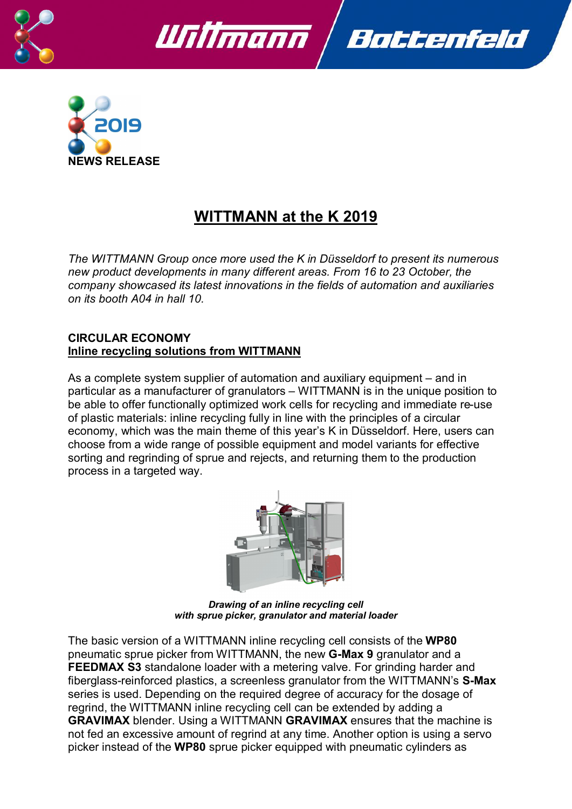





# **WITTMANN at the K 2019**

*The WITTMANN Group once more used the K in Düsseldorf to present its numerous new product developments in many different areas. From 16 to 23 October, the company showcased its latest innovations in the fields of automation and auxiliaries on its booth A04 in hall 10.*

#### **CIRCULAR ECONOMY Inline recycling solutions from WITTMANN**

As a complete system supplier of automation and auxiliary equipment – and in particular as a manufacturer of granulators – WITTMANN is in the unique position to be able to offer functionally optimized work cells for recycling and immediate re-use of plastic materials: inline recycling fully in line with the principles of a circular economy, which was the main theme of this year's K in Düsseldorf. Here, users can choose from a wide range of possible equipment and model variants for effective sorting and regrinding of sprue and rejects, and returning them to the production process in a targeted way.



*Drawing of an inline recycling cell with sprue picker, granulator and material loader*

The basic version of a WITTMANN inline recycling cell consists of the **WP80**  pneumatic sprue picker from WITTMANN, the new **G-Max 9** granulator and a **FEEDMAX S3** standalone loader with a metering valve. For grinding harder and fiberglass-reinforced plastics, a screenless granulator from the WITTMANN's **S-Max** series is used. Depending on the required degree of accuracy for the dosage of regrind, the WITTMANN inline recycling cell can be extended by adding a **GRAVIMAX** blender. Using a WITTMANN **GRAVIMAX** ensures that the machine is not fed an excessive amount of regrind at any time. Another option is using a servo picker instead of the **WP80** sprue picker equipped with pneumatic cylinders as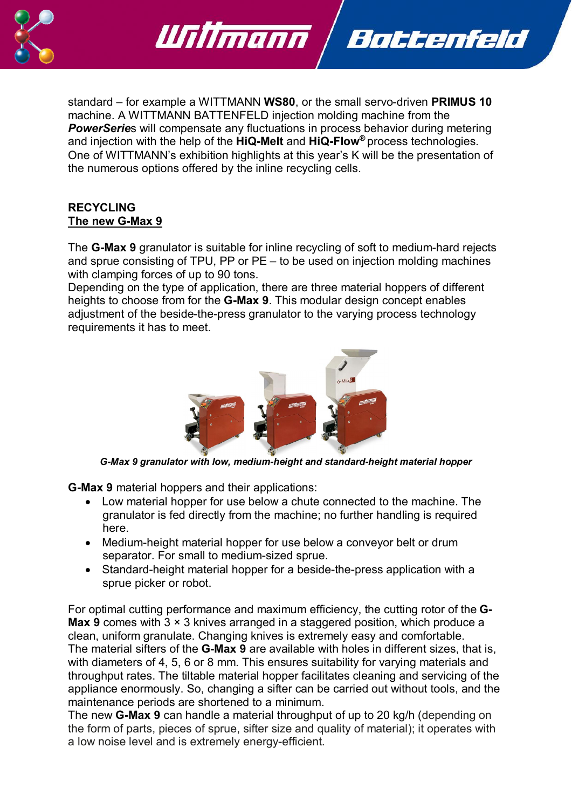

standard – for example a WITTMANN **WS80**, or the small servo-driven **PRIMUS 10** machine. A WITTMANN BATTENFELD injection molding machine from the *PowerSerie*s will compensate any fluctuations in process behavior during metering and injection with the help of the **HiQ-Melt** and **HiQ-Flow®** process technologies. One of WITTMANN's exhibition highlights at this year's K will be the presentation of the numerous options offered by the inline recycling cells.

Battenfeld

Willmann

#### **RECYCLING The new G-Max 9**

The **G-Max 9** granulator is suitable for inline recycling of soft to medium-hard rejects and sprue consisting of TPU, PP or PE – to be used on injection molding machines with clamping forces of up to 90 tons.

Depending on the type of application, there are three material hoppers of different heights to choose from for the **G-Max 9**. This modular design concept enables adjustment of the beside-the-press granulator to the varying process technology requirements it has to meet.



*G-Max 9 granulator with low, medium-height and standard-height material hopper* 

**G-Max 9** material hoppers and their applications:

- · Low material hopper for use below a chute connected to the machine. The granulator is fed directly from the machine; no further handling is required here.
- · Medium-height material hopper for use below a conveyor belt or drum separator. For small to medium-sized sprue.
- · Standard-height material hopper for a beside-the-press application with a sprue picker or robot.

For optimal cutting performance and maximum efficiency, the cutting rotor of the **G-Max 9** comes with 3  $\times$  3 knives arranged in a staggered position, which produce a clean, uniform granulate. Changing knives is extremely easy and comfortable. The material sifters of the **G-Max 9** are available with holes in different sizes, that is, with diameters of 4, 5, 6 or 8 mm. This ensures suitability for varying materials and throughput rates. The tiltable material hopper facilitates cleaning and servicing of the appliance enormously. So, changing a sifter can be carried out without tools, and the maintenance periods are shortened to a minimum.

The new **G-Max 9** can handle a material throughput of up to 20 kg/h (depending on the form of parts, pieces of sprue, sifter size and quality of material); it operates with a low noise level and is extremely energy-efficient.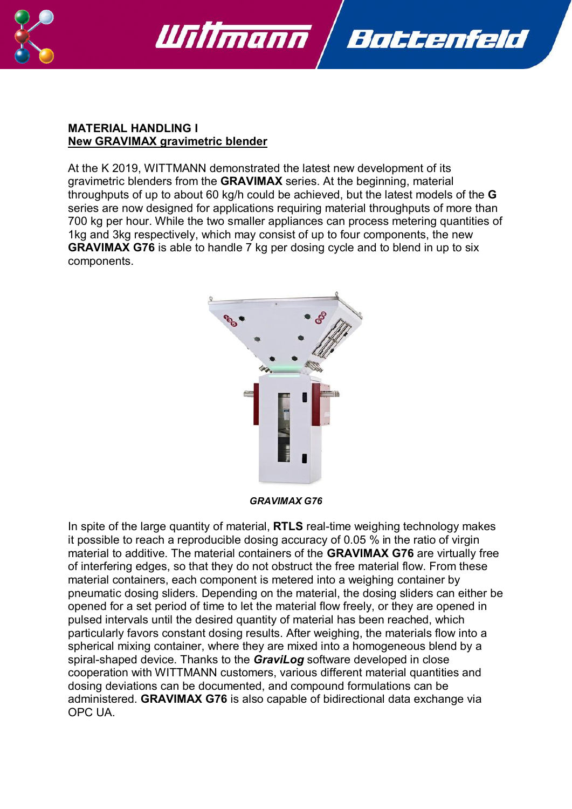



#### **MATERIAL HANDLING I New GRAVIMAX gravimetric blender**

At the K 2019, WITTMANN demonstrated the latest new development of its gravimetric blenders from the **GRAVIMAX** series. At the beginning, material throughputs of up to about 60 kg/h could be achieved, but the latest models of the **G** series are now designed for applications requiring material throughputs of more than 700 kg per hour. While the two smaller appliances can process metering quantities of 1kg and 3kg respectively, which may consist of up to four components, the new **GRAVIMAX G76** is able to handle 7 kg per dosing cycle and to blend in up to six components.



*GRAVIMAX G76*

In spite of the large quantity of material, **RTLS** real-time weighing technology makes it possible to reach a reproducible dosing accuracy of 0.05 % in the ratio of virgin material to additive. The material containers of the **GRAVIMAX G76** are virtually free of interfering edges, so that they do not obstruct the free material flow. From these material containers, each component is metered into a weighing container by pneumatic dosing sliders. Depending on the material, the dosing sliders can either be opened for a set period of time to let the material flow freely, or they are opened in pulsed intervals until the desired quantity of material has been reached, which particularly favors constant dosing results. After weighing, the materials flow into a spherical mixing container, where they are mixed into a homogeneous blend by a spiral-shaped device. Thanks to the *GraviLog* software developed in close cooperation with WITTMANN customers, various different material quantities and dosing deviations can be documented, and compound formulations can be administered. **GRAVIMAX G76** is also capable of bidirectional data exchange via OPC UA.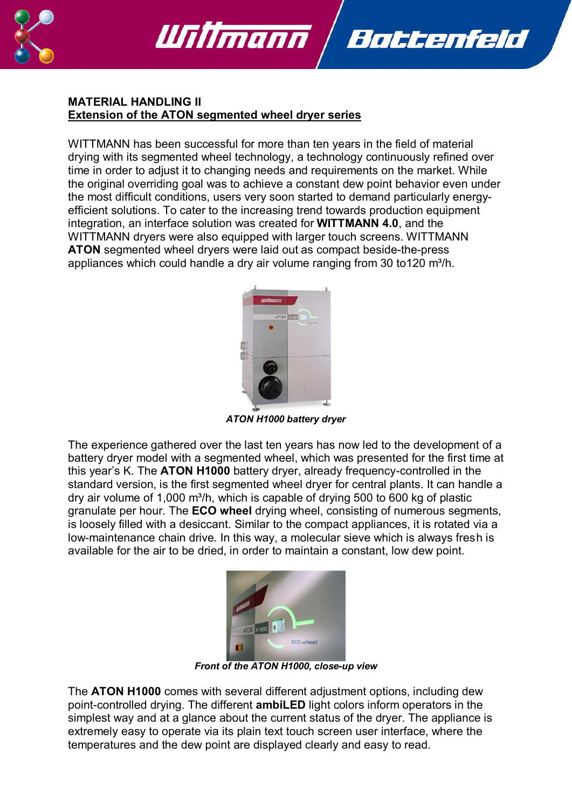



#### **MATERIAL HANDLING II Extension of the ATON segmented wheel dryer series**

WITTMANN has been successful for more than ten years in the field of material drying with its segmented wheel technology, a technology continuously refined over time in order to adjust it to changing needs and requirements on the market. While the original overriding goal was to achieve a constant dew point behavior even under the most difficult conditions, users very soon started to demand particularly energyefficient solutions. To cater to the increasing trend towards production equipment integration, an interface solution was created for **WITTMANN 4.0**, and the WITTMANN dryers were also equipped with larger touch screens. WITTMANN **ATON** segmented wheel dryers were laid out as compact beside-the-press appliances which could handle a dry air volume ranging from 30 to 120 m<sup>3</sup>/h.



*ATON H1000 battery dryer*

The experience gathered over the last ten years has now led to the development of a battery dryer model with a segmented wheel, which was presented for the first time at this year's K. The **ATON H1000** battery dryer, already frequency-controlled in the standard version, is the first segmented wheel dryer for central plants. It can handle a dry air volume of 1,000  $m^3/h$ , which is capable of drying 500 to 600 kg of plastic granulate per hour. The **ECO wheel** drying wheel, consisting of numerous segments, is loosely filled with a desiccant. Similar to the compact appliances, it is rotated via a low-maintenance chain drive. In this way, a molecular sieve which is always fresh is available for the air to be dried, in order to maintain a constant, low dew point.



*Front of the ATON H1000, close-up view*

The **ATON H1000** comes with several different adjustment options, including dew point-controlled drying. The different **ambiLED** light colors inform operators in the simplest way and at a glance about the current status of the dryer. The appliance is extremely easy to operate via its plain text touch screen user interface, where the temperatures and the dew point are displayed clearly and easy to read.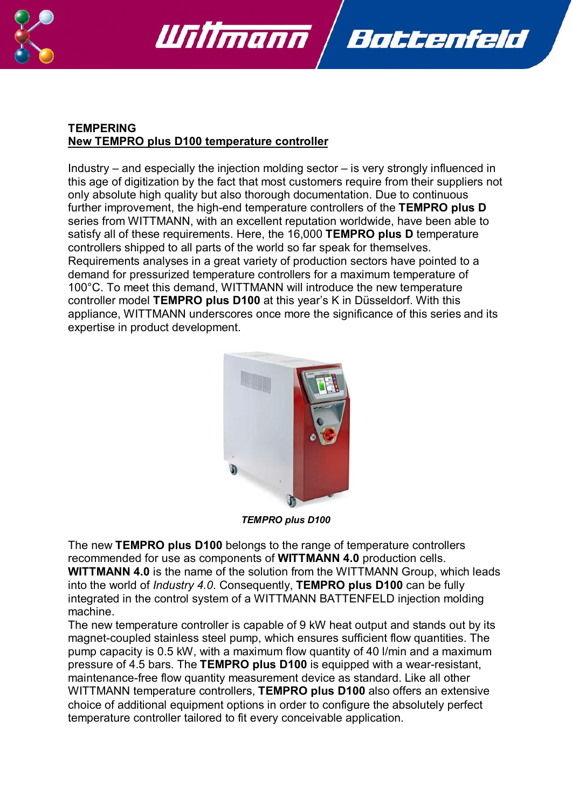



# **TEMPERING New TEMPRO plus D100 temperature controller**

Industry – and especially the injection molding sector – is very strongly influenced in this age of digitization by the fact that most customers require from their suppliers not only absolute high quality but also thorough documentation. Due to continuous further improvement, the high-end temperature controllers of the **TEMPRO plus D** series from WITTMANN, with an excellent reputation worldwide, have been able to satisfy all of these requirements. Here, the 16,000 **TEMPRO plus D** temperature controllers shipped to all parts of the world so far speak for themselves. Requirements analyses in a great variety of production sectors have pointed to a demand for pressurized temperature controllers for a maximum temperature of 100°C. To meet this demand, WITTMANN will introduce the new temperature controller model **TEMPRO plus D100** at this year's K in Düsseldorf. With this appliance, WITTMANN underscores once more the significance of this series and its expertise in product development.



*TEMPRO plus D100*

The new **TEMPRO plus D100** belongs to the range of temperature controllers recommended for use as components of **WITTMANN 4.0** production cells. **WITTMANN 4.0** is the name of the solution from the WITTMANN Group, which leads into the world of *Industry 4.0*. Consequently, **TEMPRO plus D100** can be fully integrated in the control system of a WITTMANN BATTENFELD injection molding machine.

The new temperature controller is capable of 9 kW heat output and stands out by its magnet-coupled stainless steel pump, which ensures sufficient flow quantities. The pump capacity is 0.5 kW, with a maximum flow quantity of 40 l/min and a maximum pressure of 4.5 bars. The **TEMPRO plus D100** is equipped with a wear-resistant, maintenance-free flow quantity measurement device as standard. Like all other WITTMANN temperature controllers, **TEMPRO plus D100** also offers an extensive choice of additional equipment options in order to configure the absolutely perfect temperature controller tailored to fit every conceivable application.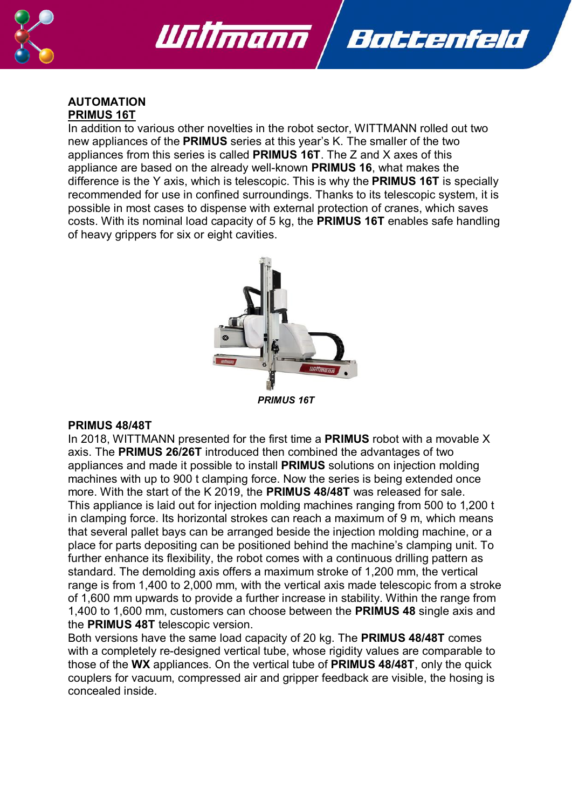

# Writmann Battenfeld

#### **AUTOMATION PRIMUS 16T**

In addition to various other novelties in the robot sector, WITTMANN rolled out two new appliances of the **PRIMUS** series at this year's K. The smaller of the two appliances from this series is called **PRIMUS 16T**. The Z and X axes of this appliance are based on the already well-known **PRIMUS 16**, what makes the difference is the Y axis, which is telescopic. This is why the **PRIMUS 16T** is specially recommended for use in confined surroundings. Thanks to its telescopic system, it is possible in most cases to dispense with external protection of cranes, which saves costs. With its nominal load capacity of 5 kg, the **PRIMUS 16T** enables safe handling of heavy grippers for six or eight cavities.



*PRIMUS 16T*

#### **PRIMUS 48/48T**

In 2018, WITTMANN presented for the first time a **PRIMUS** robot with a movable X axis. The **PRIMUS 26/26T** introduced then combined the advantages of two appliances and made it possible to install **PRIMUS** solutions on injection molding machines with up to 900 t clamping force. Now the series is being extended once more. With the start of the K 2019, the **PRIMUS 48/48T** was released for sale. This appliance is laid out for injection molding machines ranging from 500 to 1,200 t in clamping force. Its horizontal strokes can reach a maximum of 9 m, which means that several pallet bays can be arranged beside the injection molding machine, or a place for parts depositing can be positioned behind the machine's clamping unit. To further enhance its flexibility, the robot comes with a continuous drilling pattern as standard. The demolding axis offers a maximum stroke of 1,200 mm, the vertical range is from 1,400 to 2,000 mm, with the vertical axis made telescopic from a stroke of 1,600 mm upwards to provide a further increase in stability. Within the range from 1,400 to 1,600 mm, customers can choose between the **PRIMUS 48** single axis and the **PRIMUS 48T** telescopic version.

Both versions have the same load capacity of 20 kg. The **PRIMUS 48/48T** comes with a completely re-designed vertical tube, whose rigidity values are comparable to those of the **WX** appliances. On the vertical tube of **PRIMUS 48/48T**, only the quick couplers for vacuum, compressed air and gripper feedback are visible, the hosing is concealed inside.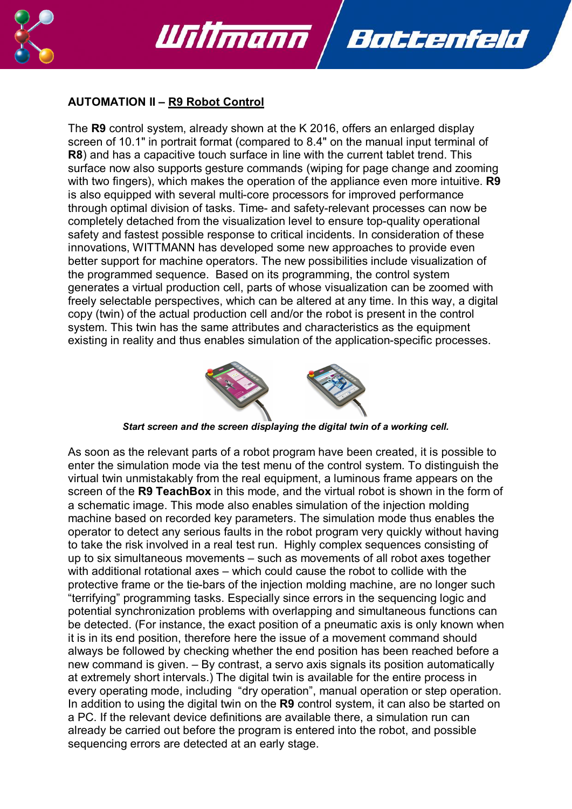

#### **AUTOMATION II – R9 Robot Control**

Writmann

The **R9** control system, already shown at the K 2016, offers an enlarged display screen of 10.1" in portrait format (compared to 8.4" on the manual input terminal of **R8**) and has a capacitive touch surface in line with the current tablet trend. This surface now also supports gesture commands (wiping for page change and zooming with two fingers), which makes the operation of the appliance even more intuitive. **R9** is also equipped with several multi-core processors for improved performance through optimal division of tasks. Time- and safety-relevant processes can now be completely detached from the visualization level to ensure top-quality operational safety and fastest possible response to critical incidents. In consideration of these innovations, WITTMANN has developed some new approaches to provide even better support for machine operators. The new possibilities include visualization of the programmed sequence. Based on its programming, the control system generates a virtual production cell, parts of whose visualization can be zoomed with freely selectable perspectives, which can be altered at any time. In this way, a digital copy (twin) of the actual production cell and/or the robot is present in the control system. This twin has the same attributes and characteristics as the equipment existing in reality and thus enables simulation of the application-specific processes.

Battenfeld



*Start screen and the screen displaying the digital twin of a working cell.*

As soon as the relevant parts of a robot program have been created, it is possible to enter the simulation mode via the test menu of the control system. To distinguish the virtual twin unmistakably from the real equipment, a luminous frame appears on the screen of the **R9 TeachBox** in this mode, and the virtual robot is shown in the form of a schematic image. This mode also enables simulation of the injection molding machine based on recorded key parameters. The simulation mode thus enables the operator to detect any serious faults in the robot program very quickly without having to take the risk involved in a real test run. Highly complex sequences consisting of up to six simultaneous movements – such as movements of all robot axes together with additional rotational axes – which could cause the robot to collide with the protective frame or the tie-bars of the injection molding machine, are no longer such "terrifying" programming tasks. Especially since errors in the sequencing logic and potential synchronization problems with overlapping and simultaneous functions can be detected. (For instance, the exact position of a pneumatic axis is only known when it is in its end position, therefore here the issue of a movement command should always be followed by checking whether the end position has been reached before a new command is given. – By contrast, a servo axis signals its position automatically at extremely short intervals.) The digital twin is available for the entire process in every operating mode, including "dry operation", manual operation or step operation. In addition to using the digital twin on the **R9** control system, it can also be started on a PC. If the relevant device definitions are available there, a simulation run can already be carried out before the program is entered into the robot, and possible sequencing errors are detected at an early stage.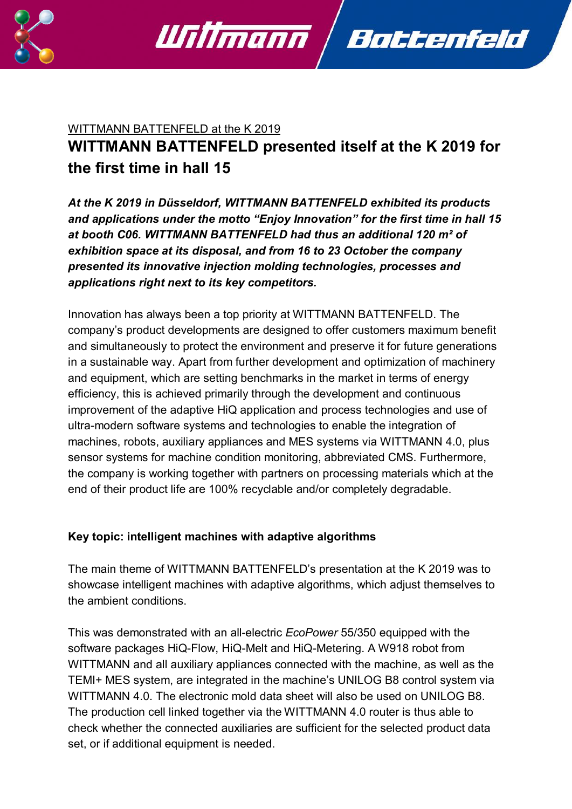

# WITTMANN BATTENFELD at the K 2019 **WITTMANN BATTENFELD presented itself at the K 2019 for the first time in hall 15**

Battenfeld

Willmann

*At the K 2019 in Düsseldorf, WITTMANN BATTENFELD exhibited its products and applications under the motto "Enjoy Innovation" for the first time in hall 15 at booth C06. WITTMANN BATTENFELD had thus an additional 120 m² of exhibition space at its disposal, and from 16 to 23 October the company presented its innovative injection molding technologies, processes and applications right next to its key competitors.* 

Innovation has always been a top priority at WITTMANN BATTENFELD. The company's product developments are designed to offer customers maximum benefit and simultaneously to protect the environment and preserve it for future generations in a sustainable way. Apart from further development and optimization of machinery and equipment, which are setting benchmarks in the market in terms of energy efficiency, this is achieved primarily through the development and continuous improvement of the adaptive HiQ application and process technologies and use of ultra-modern software systems and technologies to enable the integration of machines, robots, auxiliary appliances and MES systems via WITTMANN 4.0, plus sensor systems for machine condition monitoring, abbreviated CMS. Furthermore, the company is working together with partners on processing materials which at the end of their product life are 100% recyclable and/or completely degradable.

# **Key topic: intelligent machines with adaptive algorithms**

The main theme of WITTMANN BATTENFELD's presentation at the K 2019 was to showcase intelligent machines with adaptive algorithms, which adjust themselves to the ambient conditions.

This was demonstrated with an all-electric *EcoPower* 55/350 equipped with the software packages HiQ-Flow, HiQ-Melt and HiQ-Metering. A W918 robot from WITTMANN and all auxiliary appliances connected with the machine, as well as the TEMI+ MES system, are integrated in the machine's UNILOG B8 control system via WITTMANN 4.0. The electronic mold data sheet will also be used on UNILOG B8. The production cell linked together via the WITTMANN 4.0 router is thus able to check whether the connected auxiliaries are sufficient for the selected product data set, or if additional equipment is needed.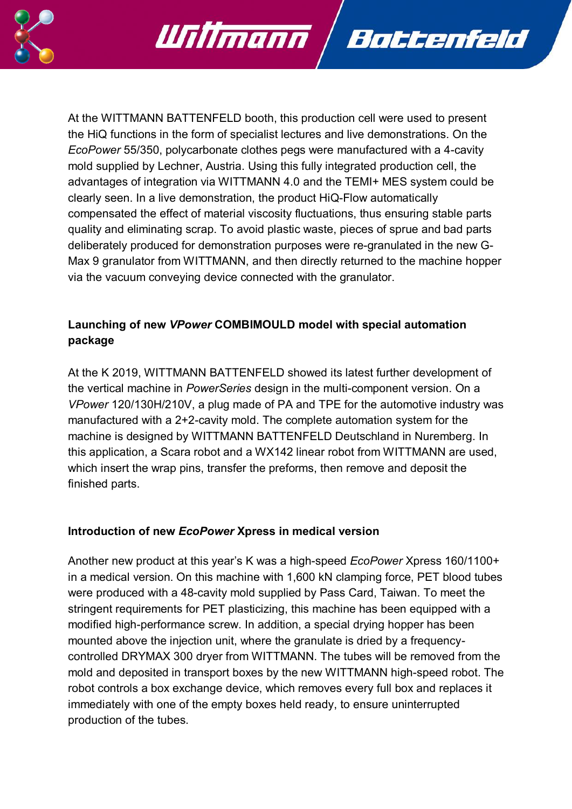

At the WITTMANN BATTENFELD booth, this production cell were used to present the HiQ functions in the form of specialist lectures and live demonstrations. On the *EcoPower* 55/350, polycarbonate clothes pegs were manufactured with a 4-cavity mold supplied by Lechner, Austria. Using this fully integrated production cell, the advantages of integration via WITTMANN 4.0 and the TEMI+ MES system could be clearly seen. In a live demonstration, the product HiQ-Flow automatically compensated the effect of material viscosity fluctuations, thus ensuring stable parts quality and eliminating scrap. To avoid plastic waste, pieces of sprue and bad parts deliberately produced for demonstration purposes were re-granulated in the new G-Max 9 granulator from WITTMANN, and then directly returned to the machine hopper via the vacuum conveying device connected with the granulator.

Battenfeld

Willmann

# **Launching of new** *VPower* **COMBIMOULD model with special automation package**

At the K 2019, WITTMANN BATTENFELD showed its latest further development of the vertical machine in *PowerSeries* design in the multi-component version. On a *VPower* 120/130H/210V, a plug made of PA and TPE for the automotive industry was manufactured with a 2+2-cavity mold. The complete automation system for the machine is designed by WITTMANN BATTENFELD Deutschland in Nuremberg. In this application, a Scara robot and a WX142 linear robot from WITTMANN are used, which insert the wrap pins, transfer the preforms, then remove and deposit the finished parts.

# **Introduction of new** *EcoPower* **Xpress in medical version**

Another new product at this year's K was a high-speed *EcoPower* Xpress 160/1100+ in a medical version. On this machine with 1,600 kN clamping force, PET blood tubes were produced with a 48-cavity mold supplied by Pass Card, Taiwan. To meet the stringent requirements for PET plasticizing, this machine has been equipped with a modified high-performance screw. In addition, a special drying hopper has been mounted above the injection unit, where the granulate is dried by a frequencycontrolled DRYMAX 300 dryer from WITTMANN. The tubes will be removed from the mold and deposited in transport boxes by the new WITTMANN high-speed robot. The robot controls a box exchange device, which removes every full box and replaces it immediately with one of the empty boxes held ready, to ensure uninterrupted production of the tubes.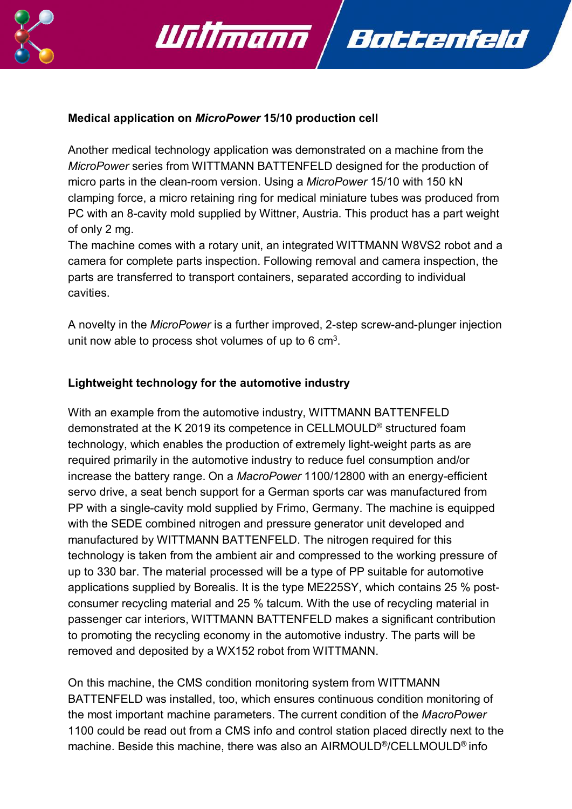

#### **Medical application on** *MicroPower* **15/10 production cell**

Willmann

Another medical technology application was demonstrated on a machine from the *MicroPower* series from WITTMANN BATTENFELD designed for the production of micro parts in the clean-room version. Using a *MicroPower* 15/10 with 150 kN clamping force, a micro retaining ring for medical miniature tubes was produced from PC with an 8-cavity mold supplied by Wittner, Austria. This product has a part weight of only 2 mg.

Battenfeld

The machine comes with a rotary unit, an integrated WITTMANN W8VS2 robot and a camera for complete parts inspection. Following removal and camera inspection, the parts are transferred to transport containers, separated according to individual cavities.

A novelty in the *MicroPower* is a further improved, 2-step screw-and-plunger injection unit now able to process shot volumes of up to 6  $cm<sup>3</sup>$ .

#### **Lightweight technology for the automotive industry**

With an example from the automotive industry, WITTMANN BATTENFELD demonstrated at the K 2019 its competence in CELLMOULD® structured foam technology, which enables the production of extremely light-weight parts as are required primarily in the automotive industry to reduce fuel consumption and/or increase the battery range. On a *MacroPower* 1100/12800 with an energy-efficient servo drive, a seat bench support for a German sports car was manufactured from PP with a single-cavity mold supplied by Frimo, Germany. The machine is equipped with the SEDE combined nitrogen and pressure generator unit developed and manufactured by WITTMANN BATTENFELD. The nitrogen required for this technology is taken from the ambient air and compressed to the working pressure of up to 330 bar. The material processed will be a type of PP suitable for automotive applications supplied by Borealis. It is the type ME225SY, which contains 25 % postconsumer recycling material and 25 % talcum. With the use of recycling material in passenger car interiors, WITTMANN BATTENFELD makes a significant contribution to promoting the recycling economy in the automotive industry. The parts will be removed and deposited by a WX152 robot from WITTMANN.

On this machine, the CMS condition monitoring system from WITTMANN BATTENFELD was installed, too, which ensures continuous condition monitoring of the most important machine parameters. The current condition of the *MacroPower*  1100 could be read out from a CMS info and control station placed directly next to the machine. Beside this machine, there was also an AIRMOULD®/CELLMOULD® info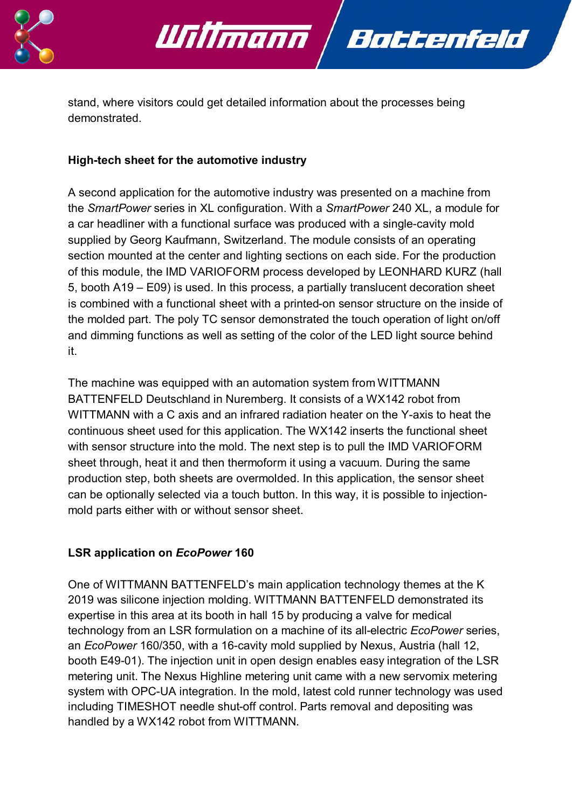

stand, where visitors could get detailed information about the processes being demonstrated.

Battenfeld

Willmann

# **High-tech sheet for the automotive industry**

A second application for the automotive industry was presented on a machine from the *SmartPower* series in XL configuration. With a *SmartPower* 240 XL, a module for a car headliner with a functional surface was produced with a single-cavity mold supplied by Georg Kaufmann, Switzerland. The module consists of an operating section mounted at the center and lighting sections on each side. For the production of this module, the IMD VARIOFORM process developed by LEONHARD KURZ (hall 5, booth A19 – E09) is used. In this process, a partially translucent decoration sheet is combined with a functional sheet with a printed-on sensor structure on the inside of the molded part. The poly TC sensor demonstrated the touch operation of light on/off and dimming functions as well as setting of the color of the LED light source behind it.

The machine was equipped with an automation system from WITTMANN BATTENFELD Deutschland in Nuremberg. It consists of a WX142 robot from WITTMANN with a C axis and an infrared radiation heater on the Y-axis to heat the continuous sheet used for this application. The WX142 inserts the functional sheet with sensor structure into the mold. The next step is to pull the IMD VARIOFORM sheet through, heat it and then thermoform it using a vacuum. During the same production step, both sheets are overmolded. In this application, the sensor sheet can be optionally selected via a touch button. In this way, it is possible to injectionmold parts either with or without sensor sheet.

# **LSR application on** *EcoPower* **160**

One of WITTMANN BATTENFELD's main application technology themes at the K 2019 was silicone injection molding. WITTMANN BATTENFELD demonstrated its expertise in this area at its booth in hall 15 by producing a valve for medical technology from an LSR formulation on a machine of its all-electric *EcoPower* series, an *EcoPower* 160/350, with a 16-cavity mold supplied by Nexus, Austria (hall 12, booth E49-01). The injection unit in open design enables easy integration of the LSR metering unit. The Nexus Highline metering unit came with a new servomix metering system with OPC-UA integration. In the mold, latest cold runner technology was used including TIMESHOT needle shut-off control. Parts removal and depositing was handled by a WX142 robot from WITTMANN.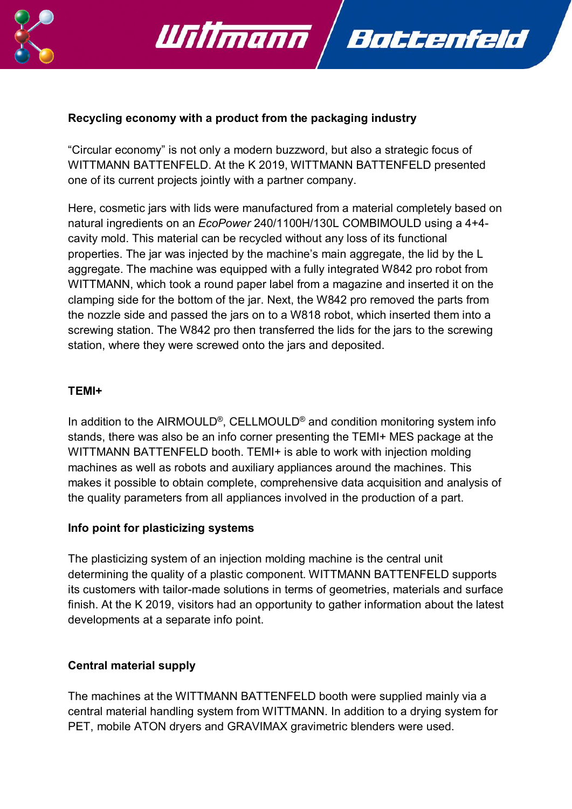

#### **Recycling economy with a product from the packaging industry**

Willmann

"Circular economy" is not only a modern buzzword, but also a strategic focus of WITTMANN BATTENFELD. At the K 2019, WITTMANN BATTENFELD presented one of its current projects jointly with a partner company.

Battenfeld

Here, cosmetic jars with lids were manufactured from a material completely based on natural ingredients on an *EcoPower* 240/1100H/130L COMBIMOULD using a 4+4 cavity mold. This material can be recycled without any loss of its functional properties. The jar was injected by the machine's main aggregate, the lid by the L aggregate. The machine was equipped with a fully integrated W842 pro robot from WITTMANN, which took a round paper label from a magazine and inserted it on the clamping side for the bottom of the jar. Next, the W842 pro removed the parts from the nozzle side and passed the jars on to a W818 robot, which inserted them into a screwing station. The W842 pro then transferred the lids for the jars to the screwing station, where they were screwed onto the jars and deposited.

#### **TEMI+**

In addition to the AIRMOULD<sup>®</sup>, CELLMOULD<sup>®</sup> and condition monitoring system info stands, there was also be an info corner presenting the TEMI+ MES package at the WITTMANN BATTENFELD booth. TEMI+ is able to work with injection molding machines as well as robots and auxiliary appliances around the machines. This makes it possible to obtain complete, comprehensive data acquisition and analysis of the quality parameters from all appliances involved in the production of a part.

#### **Info point for plasticizing systems**

The plasticizing system of an injection molding machine is the central unit determining the quality of a plastic component. WITTMANN BATTENFELD supports its customers with tailor-made solutions in terms of geometries, materials and surface finish. At the K 2019, visitors had an opportunity to gather information about the latest developments at a separate info point.

#### **Central material supply**

The machines at the WITTMANN BATTENFELD booth were supplied mainly via a central material handling system from WITTMANN. In addition to a drying system for PET, mobile ATON dryers and GRAVIMAX gravimetric blenders were used.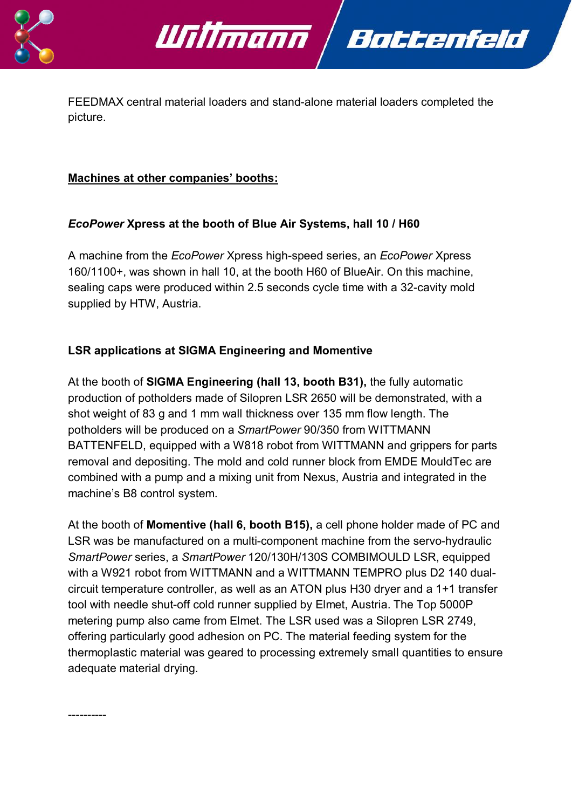

FEEDMAX central material loaders and stand-alone material loaders completed the picture.

Battenfeld

#### **Machines at other companies' booths:**

# *EcoPower* **Xpress at the booth of Blue Air Systems, hall 10 / H60**

Willmann

A machine from the *EcoPower* Xpress high-speed series, an *EcoPower* Xpress 160/1100+, was shown in hall 10, at the booth H60 of BlueAir. On this machine, sealing caps were produced within 2.5 seconds cycle time with a 32-cavity mold supplied by HTW, Austria.

# **LSR applications at SIGMA Engineering and Momentive**

At the booth of **SIGMA Engineering (hall 13, booth B31),** the fully automatic production of potholders made of Silopren LSR 2650 will be demonstrated, with a shot weight of 83 g and 1 mm wall thickness over 135 mm flow length. The potholders will be produced on a *SmartPower* 90/350 from WITTMANN BATTENFELD, equipped with a W818 robot from WITTMANN and grippers for parts removal and depositing. The mold and cold runner block from EMDE MouldTec are combined with a pump and a mixing unit from Nexus, Austria and integrated in the machine's B8 control system.

At the booth of **Momentive (hall 6, booth B15),** a cell phone holder made of PC and LSR was be manufactured on a multi-component machine from the servo-hydraulic *SmartPower* series, a *SmartPower* 120/130H/130S COMBIMOULD LSR, equipped with a W921 robot from WITTMANN and a WITTMANN TEMPRO plus D2 140 dualcircuit temperature controller, as well as an ATON plus H30 dryer and a 1+1 transfer tool with needle shut-off cold runner supplied by Elmet, Austria. The Top 5000P metering pump also came from Elmet. The LSR used was a Silopren LSR 2749, offering particularly good adhesion on PC. The material feeding system for the thermoplastic material was geared to processing extremely small quantities to ensure adequate material drying.

----------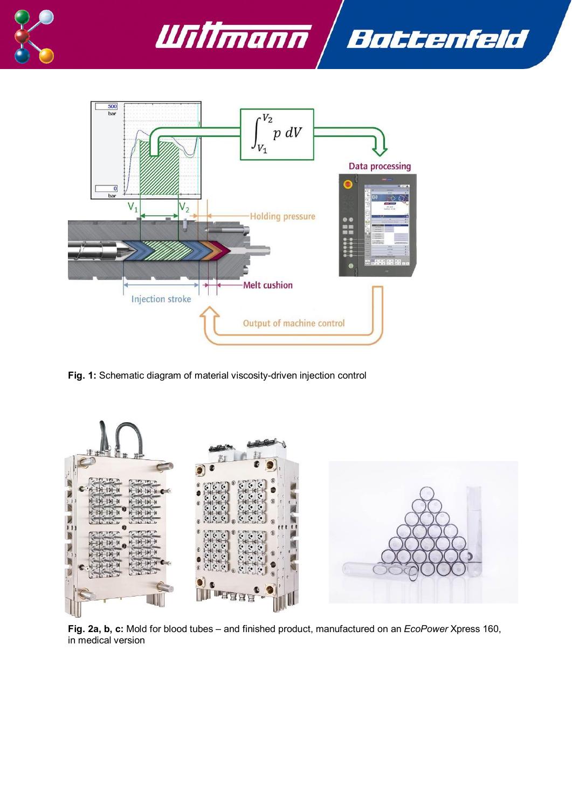





**Fig. 1:** Schematic diagram of material viscosity-driven injection control



**Fig. 2a, b, c:** Mold for blood tubes – and finished product, manufactured on an *EcoPower* Xpress 160, in medical version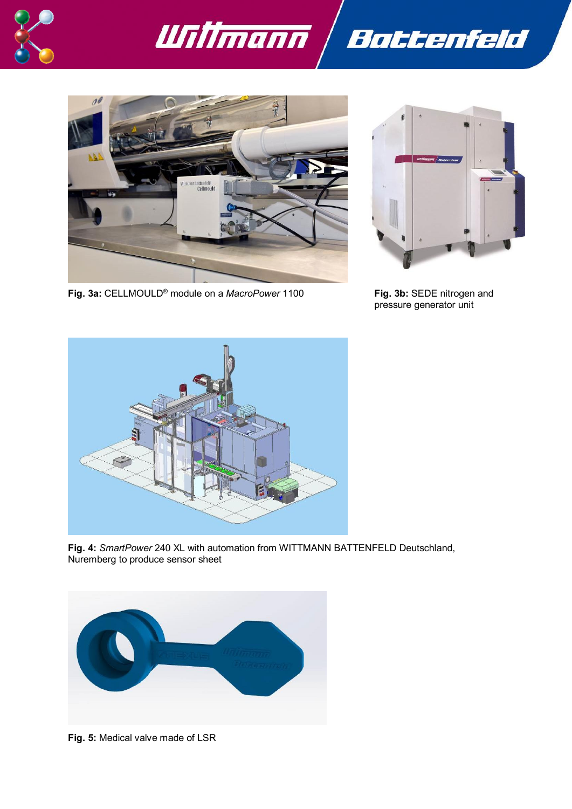





**Fig. 3a:** CELLMOULD® module on a *MacroPower* 1100 **Fig. 3b:** SEDE nitrogen and



pressure generator unit



**Fig. 4:** *SmartPower* 240 XL with automation from WITTMANN BATTENFELD Deutschland, Nuremberg to produce sensor sheet



**Fig. 5:** Medical valve made of LSR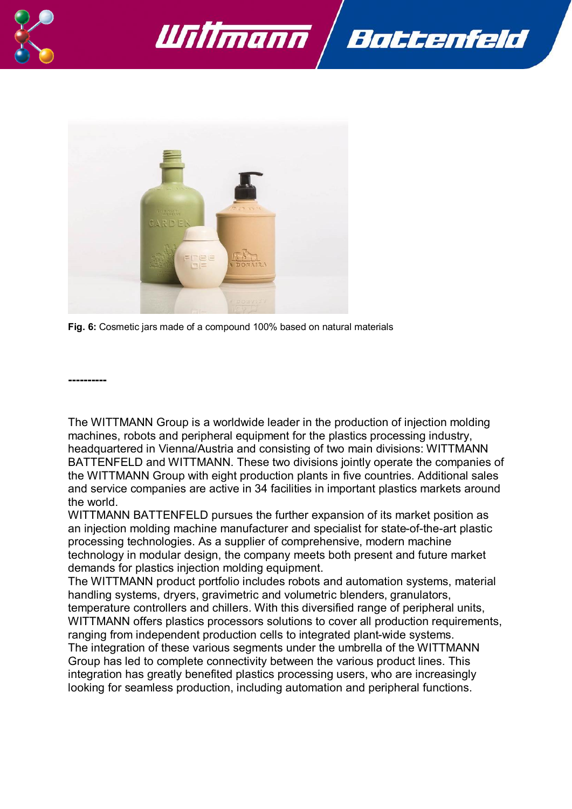





**Fig. 6:** Cosmetic jars made of a compound 100% based on natural materials

**----------**

The WITTMANN Group is a worldwide leader in the production of injection molding machines, robots and peripheral equipment for the plastics processing industry, headquartered in Vienna/Austria and consisting of two main divisions: WITTMANN BATTENFELD and WITTMANN. These two divisions jointly operate the companies of the WITTMANN Group with eight production plants in five countries. Additional sales and service companies are active in 34 facilities in important plastics markets around the world.

WITTMANN BATTENFELD pursues the further expansion of its market position as an injection molding machine manufacturer and specialist for state-of-the-art plastic processing technologies. As a supplier of comprehensive, modern machine technology in modular design, the company meets both present and future market demands for plastics injection molding equipment.

The WITTMANN product portfolio includes robots and automation systems, material handling systems, dryers, gravimetric and volumetric blenders, granulators, temperature controllers and chillers. With this diversified range of peripheral units, WITTMANN offers plastics processors solutions to cover all production requirements, ranging from independent production cells to integrated plant-wide systems. The integration of these various segments under the umbrella of the WITTMANN Group has led to complete connectivity between the various product lines. This integration has greatly benefited plastics processing users, who are increasingly looking for seamless production, including automation and peripheral functions.